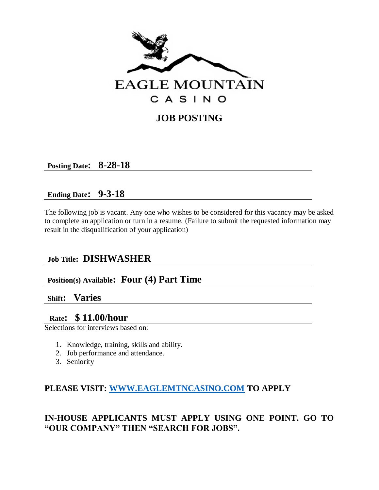

# **JOB POSTING**

**Posting Date: 8-28-18**

## **Ending Date: 9-3-18**

The following job is vacant. Any one who wishes to be considered for this vacancy may be asked to complete an application or turn in a resume. (Failure to submit the requested information may result in the disqualification of your application)

# **Job Title: DISHWASHER**

# **Position(s) Available: Four (4) Part Time**

## **Shift: Varies**

## **Rate: \$ 11.00/hour**

Selections for interviews based on:

- 1. Knowledge, training, skills and ability.
- 2. Job performance and attendance.
- 3. Seniority

## **PLEASE VISIT: [WWW.EAGLEMTNCASINO.COM](http://www.eaglemtncasino.com/) TO APPLY**

# **IN-HOUSE APPLICANTS MUST APPLY USING ONE POINT. GO TO "OUR COMPANY" THEN "SEARCH FOR JOBS".**